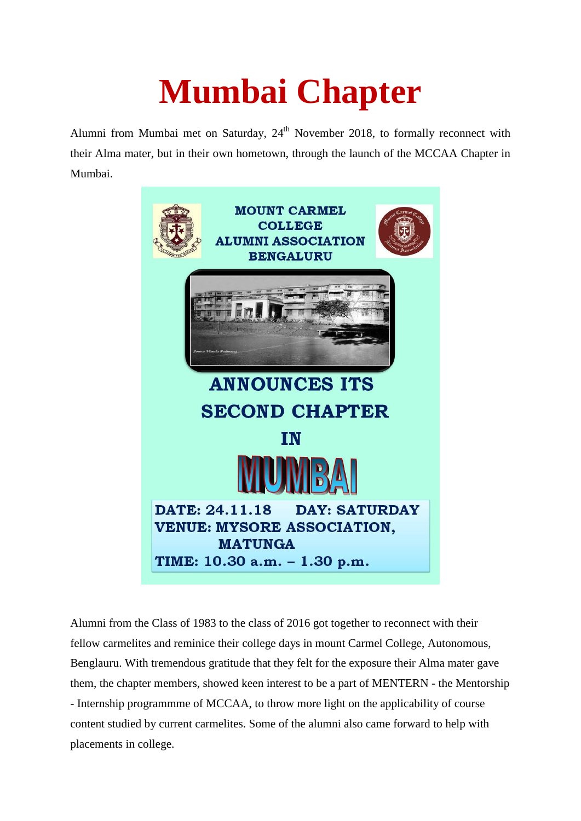## **Mumbai Chapter**

Alumni from Mumbai met on Saturday,  $24<sup>th</sup>$  November 2018, to formally reconnect with their Alma mater, but in their own hometown, through the launch of the MCCAA Chapter in Mumbai.



Alumni from the Class of 1983 to the class of 2016 got together to reconnect with their fellow carmelites and reminice their college days in mount Carmel College, Autonomous, Benglauru. With tremendous gratitude that they felt for the exposure their Alma mater gave them, the chapter members, showed keen interest to be a part of MENTERN - the Mentorship - Internship programmme of MCCAA, to throw more light on the applicability of course content studied by current carmelites. Some of the alumni also came forward to help with placements in college.